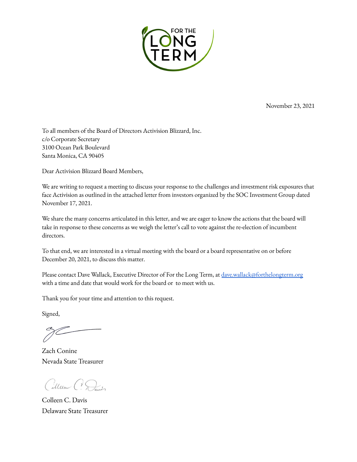

November 23, 2021

To all members of the Board of Directors Activision Blizzard, Inc. c/o Corporate Secretary 3100 Ocean Park Boulevard Santa Monica, CA 90405

Dear Activision Blizzard Board Members,

We are writing to request a meeting to discuss your response to the challenges and investment risk exposures that face Activision as outlined in the attached letter from investors organized by the SOC Investment Group dated November 17, 2021.

We share the many concerns articulated in this letter, and we are eager to know the actions that the board will take in response to these concerns as we weigh the letter's call to vote against the re-election of incumbent directors.

To that end, we are interested in a virtual meeting with the board or a board representative on or before December 20, 2021, to discuss this matter.

Please contact Dave Wallack, Executive Director of For the Long Term, at [dave.wallack@forthelongterm.org](mailto:dave.wallack@forthelongterm.org) with a time and date that would work for the board or to meet with us.

Thank you for your time and attention to this request.

Signed,

Zach Conine Nevada State Treasurer

Cillen CS

Colleen C. Davis Delaware State Treasurer